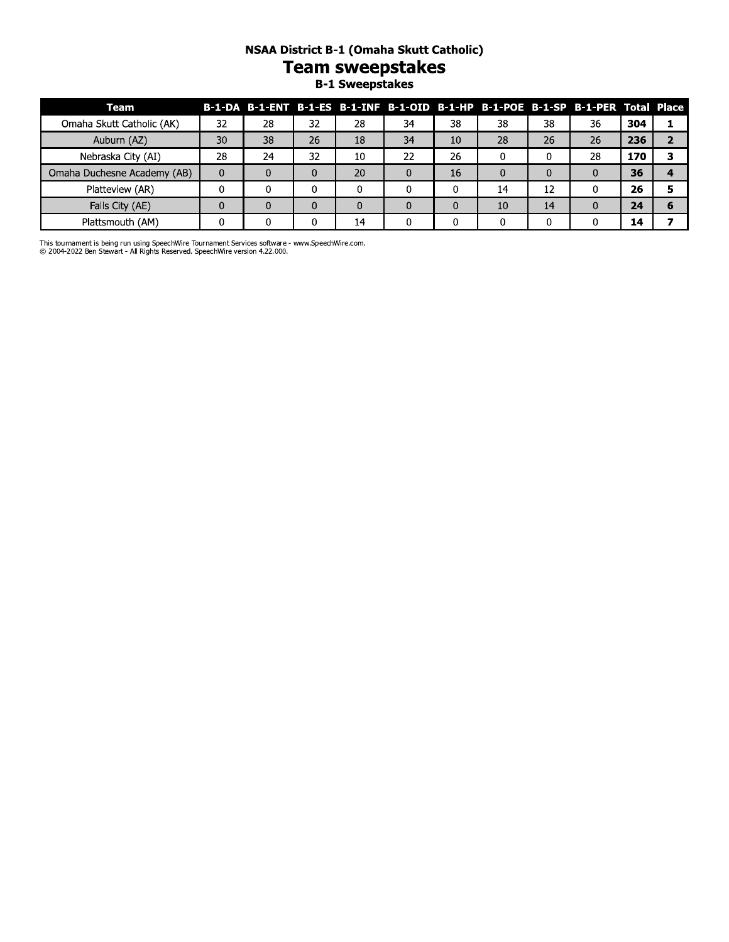# NSAA District B-1 (Omaha Skutt Catholic) Team sweepstakes<br>B-1 Sweepstakes

| Team                        |    |    |    |    |    |    |    |    | B-1-DA B-1-ENT B-1-ES B-1-INF B-1-OID B-1-HP B-1-POE B-1-SP B-1-PER Total Place |     |  |
|-----------------------------|----|----|----|----|----|----|----|----|---------------------------------------------------------------------------------|-----|--|
| Omaha Skutt Catholic (AK)   | 32 | 28 | 32 | 28 | 34 | 38 | 38 | 38 | 36                                                                              | 304 |  |
| Auburn (AZ)                 | 30 | 38 | 26 | 18 | 34 | 10 | 28 | 26 | 26                                                                              | 236 |  |
| Nebraska City (AI)          | 28 | 24 | 32 | 10 | 22 | 26 |    |    | 28                                                                              | 170 |  |
| Omaha Duchesne Academy (AB) |    |    |    | 20 |    | 16 |    |    |                                                                                 | 36  |  |
| Platteview (AR)             |    |    |    |    |    |    | 14 | 12 |                                                                                 | 26  |  |
| Falls City (AE)             |    |    |    |    |    |    | 10 | 14 |                                                                                 | 24  |  |
| Plattsmouth (AM)            |    |    |    | 14 |    |    |    |    |                                                                                 | 14  |  |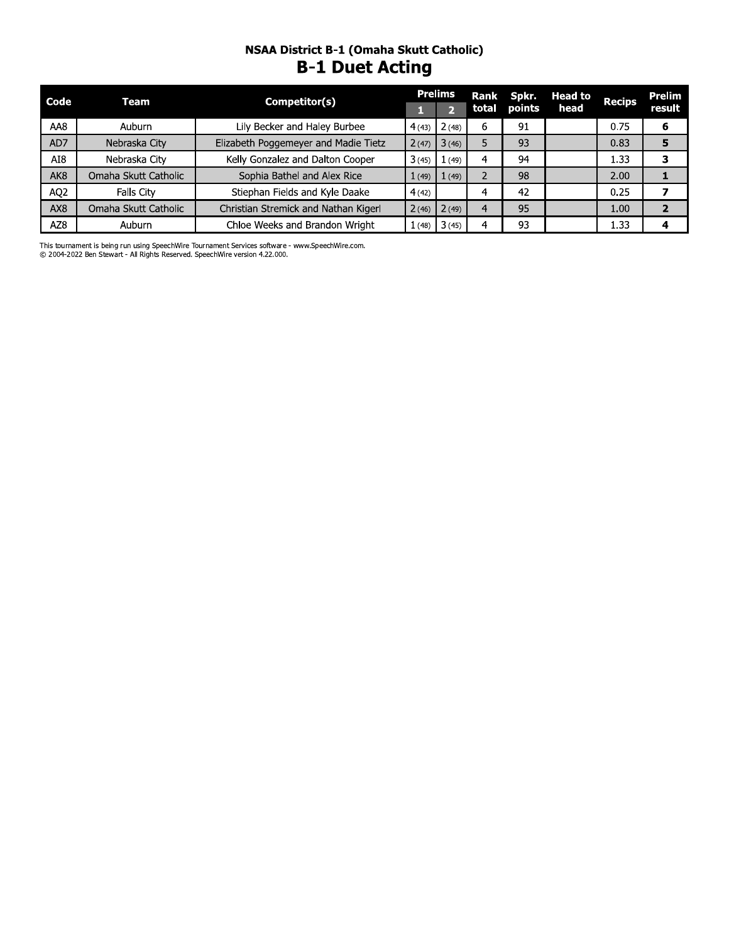### NSAA District B-1 (Omaha Skutt Catholic) **B-1 Duet Acting**

| Code            | Team                 | Competitor(s)                        |        | <b>Prelims</b> | Rank  | Spkr.  | Head to | <b>Recips</b> | <b>Prelim</b> |
|-----------------|----------------------|--------------------------------------|--------|----------------|-------|--------|---------|---------------|---------------|
|                 |                      |                                      |        |                | total | points | head    |               | result        |
| AA8             | Auburn               | Lily Becker and Haley Burbee         | 4(43)  | 2(48)          | 6     | 91     |         | 0.75          | 6             |
| AD7             | Nebraska City        | Elizabeth Poggemeyer and Madie Tietz | 2(47)  | 3(46)          |       | 93     |         | 0.83          |               |
| AI8             | Nebraska City        | Kelly Gonzalez and Dalton Cooper     | 3(45)  | (49)           | 4     | 94     |         | 1.33          |               |
| AK <sub>8</sub> | Omaha Skutt Catholic | Sophia Bathel and Alex Rice          | 1(49)  | (49)           |       | 98     |         | 2.00          |               |
| AQ <sub>2</sub> | <b>Falls City</b>    | Stiephan Fields and Kyle Daake       | 4(42)  |                | 4     | 42     |         | 0.25          |               |
| AX8             | Omaha Skutt Catholic | Christian Stremick and Nathan Kigerl | 2(46)  | 2(49)          |       | 95     |         | 1.00          |               |
| AZ8             | Auburn               | Chloe Weeks and Brandon Wright       | 1 (48) | 3(45)          |       | 93     |         | 1.33          |               |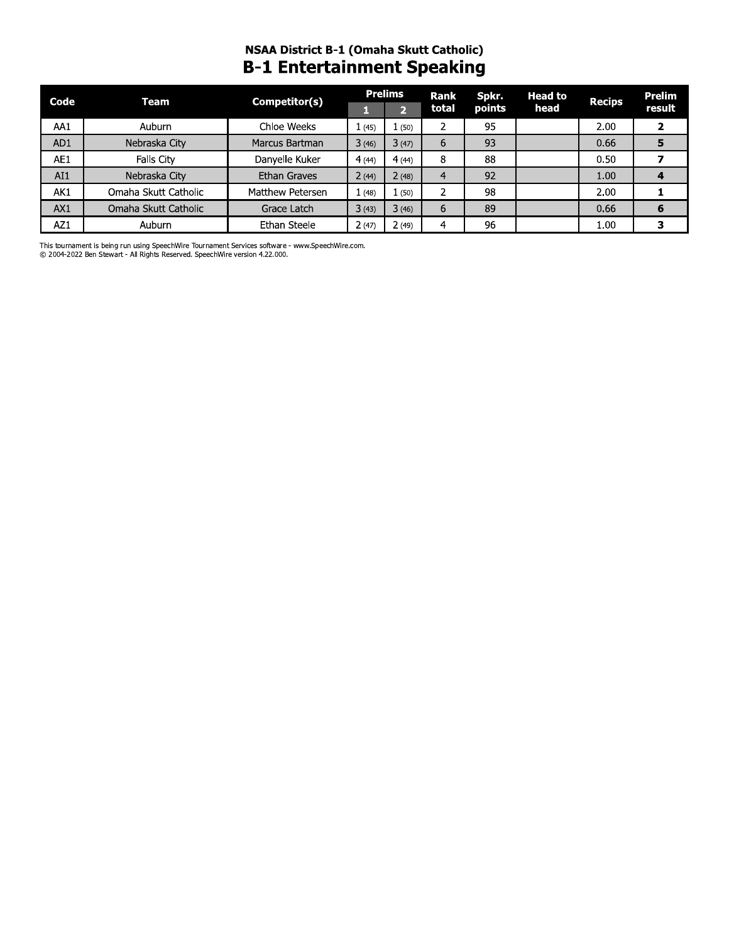# NSAA DISTrict B-1 (Omana Skutt Catholic) B-1 Entertainment Speaking

| Code | Team                                                                                                                                                                            | Competitor(s)    |       | <b>Prelims</b> | Rank           | Spkr.  | <b>Head to</b> | <b>Recips</b> | <b>Prelim</b> |
|------|---------------------------------------------------------------------------------------------------------------------------------------------------------------------------------|------------------|-------|----------------|----------------|--------|----------------|---------------|---------------|
|      |                                                                                                                                                                                 |                  | 1     | $\overline{2}$ | total          | points | head           |               | result        |
| AA1  | Auburn                                                                                                                                                                          | Chloe Weeks      | 1(45) | 1(50)          | 2              | 95     |                | 2.00          | $\mathbf{2}$  |
| AD1  | Nebraska City                                                                                                                                                                   | Marcus Bartman   | 3(46) | 3(47)          | 6              | 93     |                | 0.66          | 5             |
| AE1  | Falls City                                                                                                                                                                      | Danyelle Kuker   | 4(44) | 4(44)          | 8              | 88     |                | 0.50          | 7             |
| AI1  | Nebraska City                                                                                                                                                                   | Ethan Graves     | 2(44) | 2(48)          | $\overline{4}$ | 92     |                | 1.00          | 4             |
| AK1  | Omaha Skutt Catholic                                                                                                                                                            | Matthew Petersen | 1(48) | 1(50)          | 2              | 98     |                | 2.00          | 1             |
| AX1  | Omaha Skutt Catholic                                                                                                                                                            | Grace Latch      | 3(43) | 3(46)          | 6              | 89     |                | 0.66          | 6             |
| AZ1  | Auburn                                                                                                                                                                          | Ethan Steele     | 2(47) | 2(49)          | 4              | 96     |                | 1.00          | 3             |
|      | This tournament is being run using SpeechWire Tournament Services software - www.SpeechWire.com.<br>© 2004-2022 Ben Stewart - All Rights Reserved. SpeechWire version 4.22.000. |                  |       |                |                |        |                |               |               |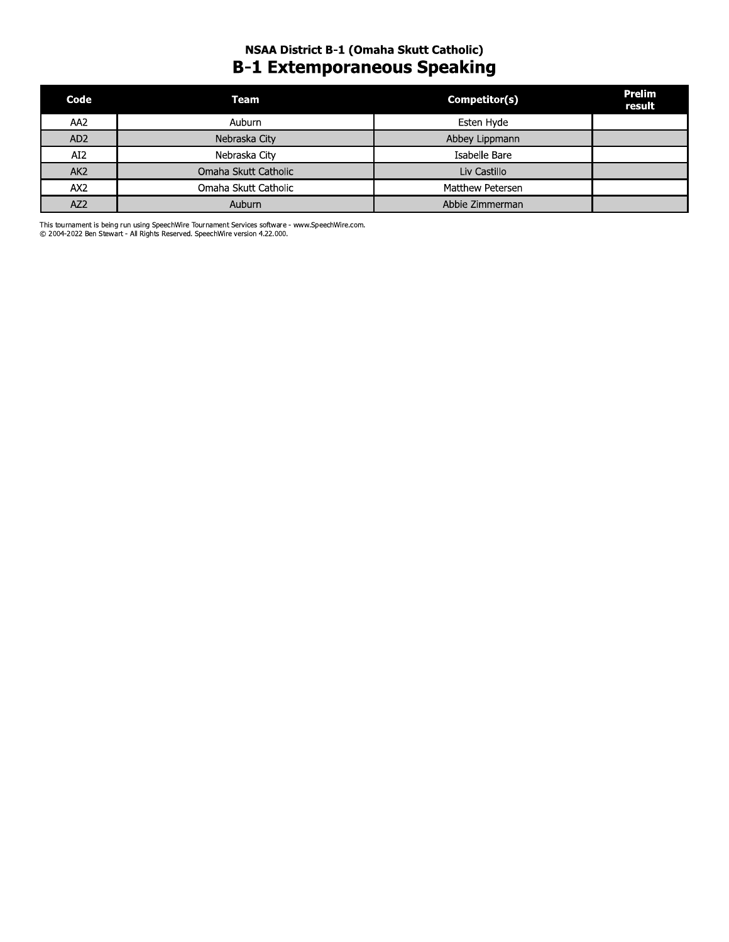## NSAA District B-1 (Omaha Skutt Catholic) **B-1 Extemporaneous Speaking**

| Code            | <b>Team</b>          | Competitor(s)    | <b>Prelim</b><br>result |
|-----------------|----------------------|------------------|-------------------------|
| AA <sub>2</sub> | Auburn               | Esten Hyde       |                         |
| AD <sub>2</sub> | Nebraska City        | Abbey Lippmann   |                         |
| AI <sub>2</sub> | Nebraska City        | Isabelle Bare    |                         |
| AK <sub>2</sub> | Omaha Skutt Catholic | Liv Castillo     |                         |
| AX2             | Omaha Skutt Catholic | Matthew Petersen |                         |
| AZ <sub>2</sub> | Auburn               | Abbie Zimmerman  |                         |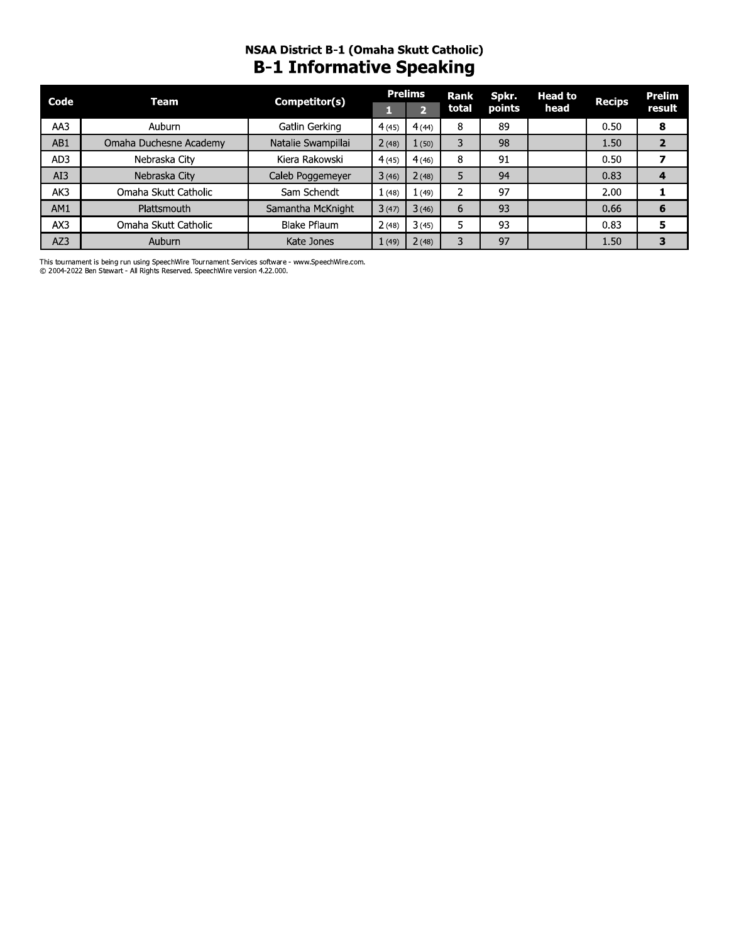# **NSAA District B-1 (Omaha Skutt Catholic)**<br>**B-1 Informative Speaking**

| Code | Team                   | Competitor(s)       |       | <b>Prelims</b> | Rank   | Spkr.  | <b>Head to</b> | <b>Recips</b> | Prelim |
|------|------------------------|---------------------|-------|----------------|--------|--------|----------------|---------------|--------|
|      |                        |                     |       | 2              | total  | points | head           |               | result |
| AA3  | Auburn                 | Gatlin Gerking      | 4(45) | 4(44)          | 8      | 89     |                | 0.50          | 8      |
| AB1  | Omaha Duchesne Academy | Natalie Swampillai  | 2(48) | 1(50)          | 3      | 98     |                | 1.50          | 2      |
| AD3  | Nebraska City          | Kiera Rakowski      | 4(45) | 4(46)          | 8      | 91     |                | 0.50          |        |
| AI3  | Nebraska City          | Caleb Poggemeyer    | 3(46) | 2(48)          | 5      | 94     |                | 0.83          |        |
| AK3  | Omaha Skutt Catholic   | Sam Schendt         | 1(48) | 1(49)          | ົ<br>∠ | 97     |                | 2.00          |        |
| AM1  | Plattsmouth            | Samantha McKnight   | 3(47) | 3(46)          | 6      | 93     |                | 0.66          | 6      |
| AX3  | Omaha Skutt Catholic   | <b>Blake Pflaum</b> | 2(48) | 3(45)          |        | 93     |                | 0.83          | 5      |
| AZ3  | Auburn                 | Kate Jones          | 1(49) | 2(48)          | 3      | 97     |                | 1.50          |        |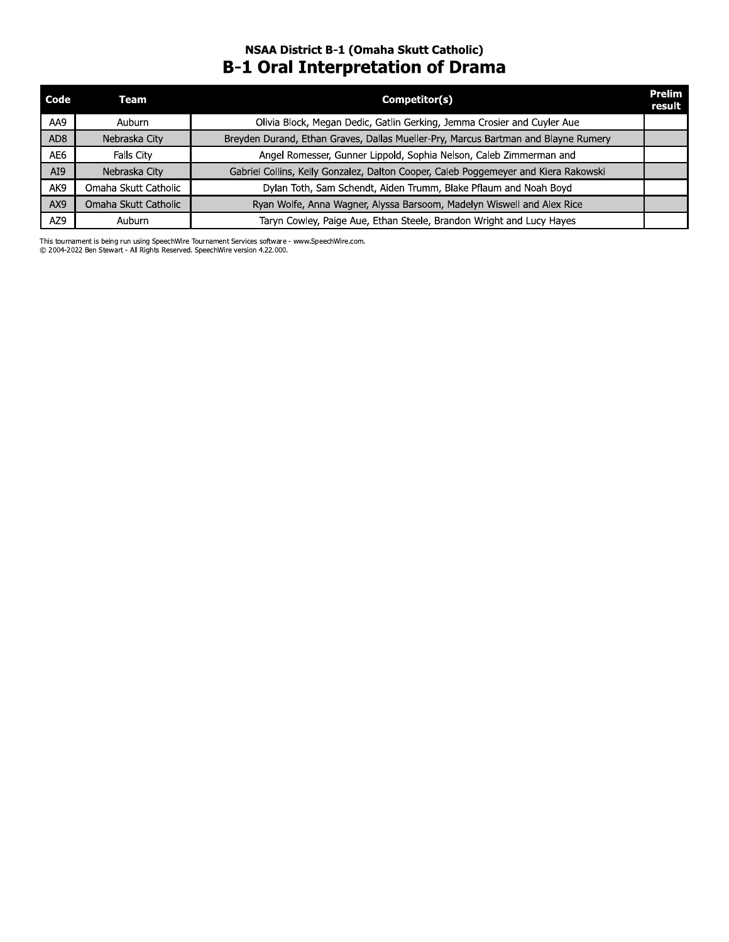## NSAA District B-1 (Omaha Skutt Catholic) **B-1 Oral Interpretation of Drama**

| Code            | Team                 | Competitor(s)                                                                       | <b>Prelim</b><br>result |
|-----------------|----------------------|-------------------------------------------------------------------------------------|-------------------------|
| AA9             | <b>Auburn</b>        | Olivia Block, Megan Dedic, Gatlin Gerking, Jemma Crosier and Cuyler Aue             |                         |
| AD <sub>8</sub> | Nebraska City        | Breyden Durand, Ethan Graves, Dallas Mueller-Pry, Marcus Bartman and Blayne Rumery  |                         |
| AE6             | Falls City           | Angel Romesser, Gunner Lippold, Sophia Nelson, Caleb Zimmerman and                  |                         |
| AI9             | Nebraska City        | Gabriel Collins, Kelly Gonzalez, Dalton Cooper, Caleb Poggemeyer and Kiera Rakowski |                         |
| AK9             | Omaha Skutt Catholic | Dylan Toth, Sam Schendt, Aiden Trumm, Blake Pflaum and Noah Boyd                    |                         |
| AX9             | Omaha Skutt Catholic | Ryan Wolfe, Anna Wagner, Alyssa Barsoom, Madelyn Wiswell and Alex Rice              |                         |
| AZ9             | Auburn               | Taryn Cowley, Paige Aue, Ethan Steele, Brandon Wright and Lucy Hayes                |                         |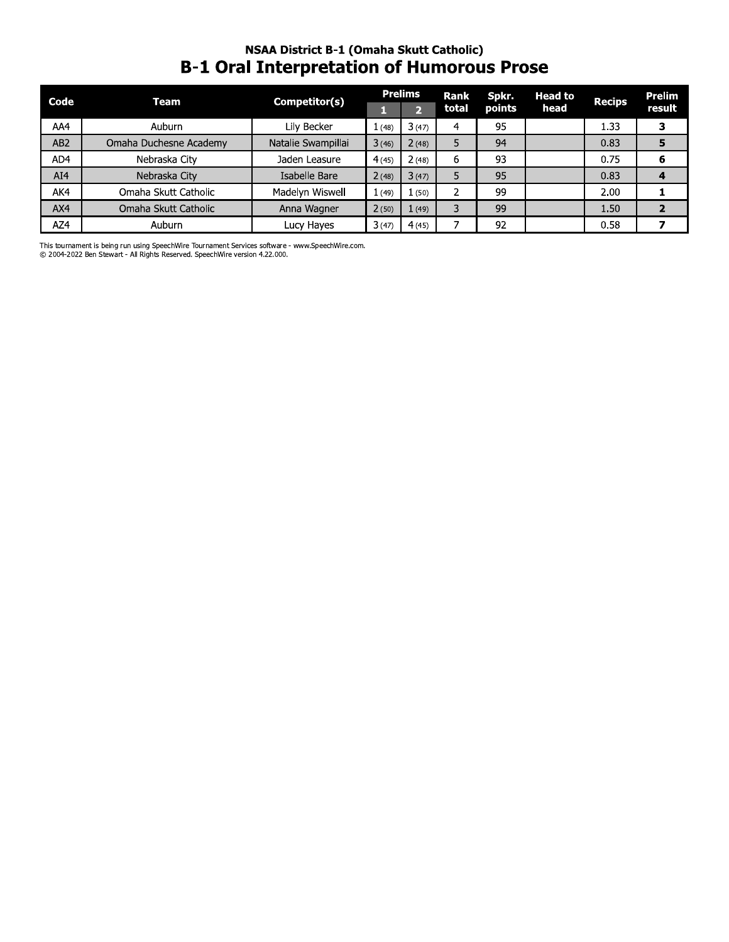### NSAA DISTrict B-1 (Omana Skutt Catholic) **B-1 Oral Interpretation of Humorous Prose**

| Code            | <b>Team</b>                                                                                                                                                                     | Competitor(s)      |       | <b>Prelims</b> | Rank  | Spkr.  | <b>Head to</b> | <b>Recips</b> | <b>Prelim</b>           |
|-----------------|---------------------------------------------------------------------------------------------------------------------------------------------------------------------------------|--------------------|-------|----------------|-------|--------|----------------|---------------|-------------------------|
|                 |                                                                                                                                                                                 |                    | П     | $\overline{2}$ | total | points | head           |               | result                  |
| AA4             | <b>Auburn</b>                                                                                                                                                                   | Lily Becker        | 1(48) | 3(47)          | 4     | 95     |                | 1.33          | 3                       |
| AB <sub>2</sub> | Omaha Duchesne Academy                                                                                                                                                          | Natalie Swampillai | 3(46) | 2(48)          | 5     | 94     |                | 0.83          | 5                       |
| AD4             | Nebraska City                                                                                                                                                                   | Jaden Leasure      | 4(45) | 2(48)          | 6     | 93     |                | 0.75          | 6                       |
| AI4             | Nebraska City                                                                                                                                                                   | Isabelle Bare      | 2(48) | 3(47)          | 5     | 95     |                | 0.83          | 4                       |
| AK4             | Omaha Skutt Catholic                                                                                                                                                            | Madelyn Wiswell    | 1(49) | 1(50)          | 2     | 99     |                | 2.00          | 1                       |
| AX4             | Omaha Skutt Catholic                                                                                                                                                            | Anna Wagner        | 2(50) | 1(49)          | 3     | 99     |                | 1.50          | $\overline{2}$          |
| AZ4             | Auburn                                                                                                                                                                          | Lucy Hayes         | 3(47) | 4(45)          | 7     | 92     |                | 0.58          | $\overline{\mathbf{z}}$ |
|                 | This tournament is being run using SpeechWire Tournament Services software - www.SpeechWire.com.<br>© 2004-2022 Ben Stewart - All Rights Reserved. SpeechWire version 4.22.000. |                    |       |                |       |        |                |               |                         |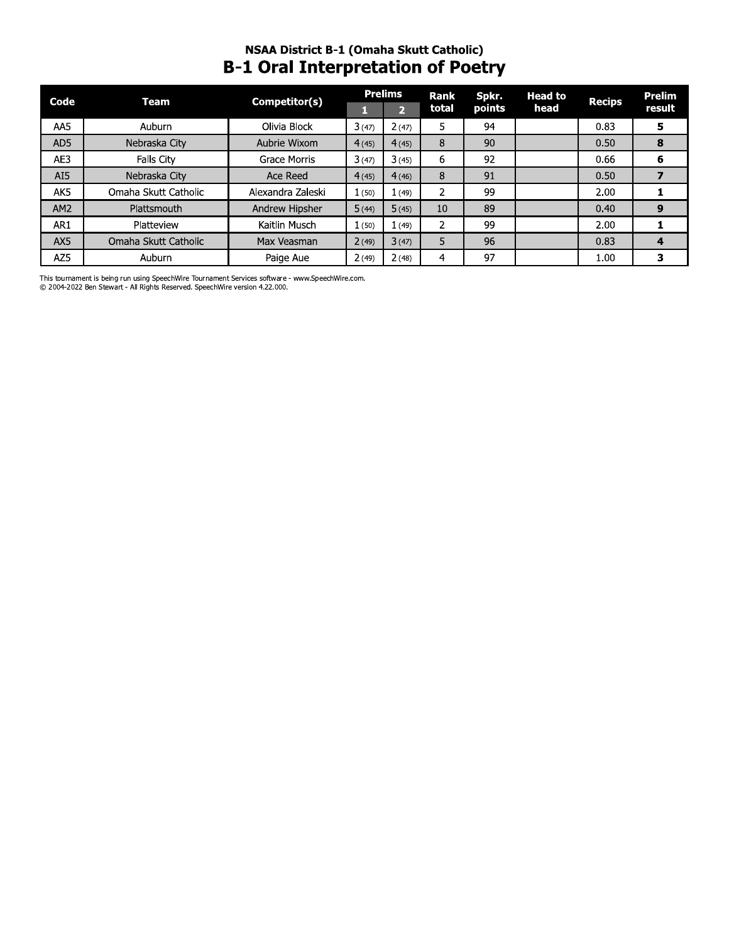## NSAA District B-1 (Omaha Skutt Catholic) **B-1 Oral Interpretation of Poetry**

| Code            | Competitor(s)<br>Team |                   |       | <b>Prelims</b> | <b>Rank</b> | Spkr.  | <b>Head to</b> | <b>Recips</b> | Prelim |
|-----------------|-----------------------|-------------------|-------|----------------|-------------|--------|----------------|---------------|--------|
|                 |                       |                   |       | $\overline{2}$ | total       | points | head           |               | result |
| AA5             | <b>Auburn</b>         | Olivia Block      | 3(47) | 2(47)          | 5.          | 94     |                | 0.83          | 5      |
| AD5             | Nebraska City         | Aubrie Wixom      | 4(45) | 4(45)          | 8           | 90     |                | 0.50          | 8      |
| AE3             | Falls City            | Grace Morris      | 3(47) | 3(45)          | 6           | 92     |                | 0.66          | 6      |
| AI5             | Nebraska City         | Ace Reed          | 4(45) | 4(46)          | 8           | 91     |                | 0.50          |        |
| AK5             | Omaha Skutt Catholic  | Alexandra Zaleski | 1(50) | 1(49)          |             | 99     |                | 2.00          |        |
| AM <sub>2</sub> | Plattsmouth           | Andrew Hipsher    | 5(44) | 5(45)          | 10          | 89     |                | 0.40          | 9      |
| AR1             | Platteview            | Kaitlin Musch     | 1(50) | 1(49)          | 2           | 99     |                | 2.00          |        |
| AX5             | Omaha Skutt Catholic  | Max Veasman       | 2(49) | 3(47)          | 5           | 96     |                | 0.83          | 4      |
| AZ5             | <b>Auburn</b>         | Paige Aue         | 2(49) | 2(48)          | 4           | 97     |                | 1.00          | 3      |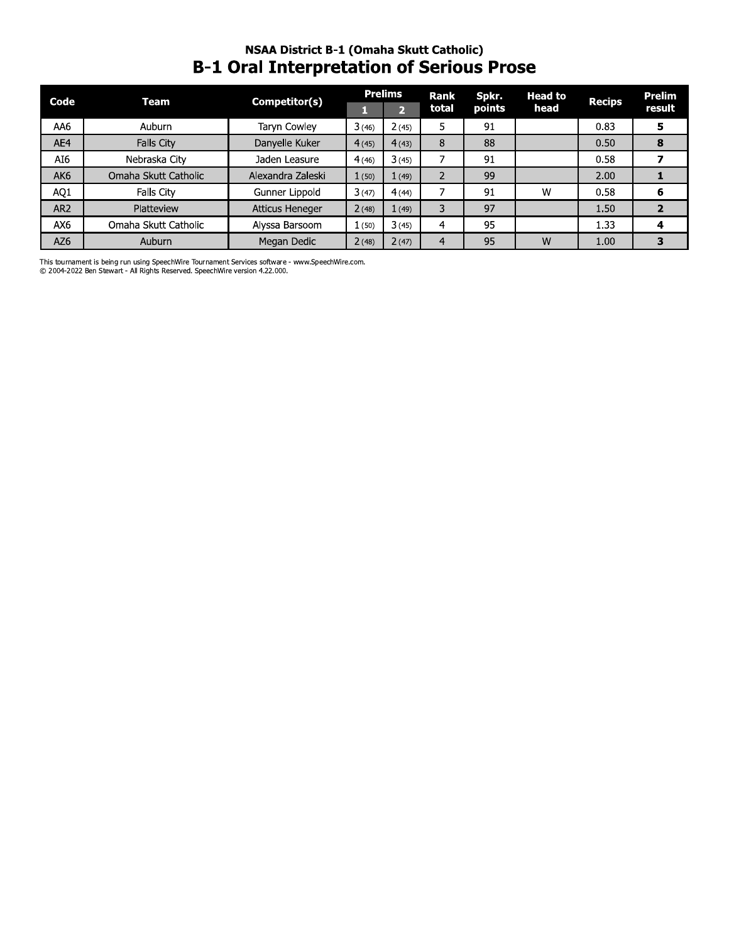# **NSAA District B-1 (Omaha Skutt Catholic) B-1 Oral Interpretation of Serious Prose**

| Code            | Team                 | Competitor(s)          |       | <b>Prelims</b> | <b>Rank</b> | Spkr.  | <b>Head to</b> | <b>Recips</b> | Prelim |
|-----------------|----------------------|------------------------|-------|----------------|-------------|--------|----------------|---------------|--------|
|                 |                      |                        |       | $\mathbf{p}$   | total       | points | head           |               | result |
| AA6             | Auburn               | Taryn Cowley           | 3(46) | 2(45)          | 5           | 91     |                | 0.83          | 5      |
| AE4             | Falls City           | Danyelle Kuker         | 4(45) | 4(43)          | 8           | 88     |                | 0.50          | 8      |
| AI6             | Nebraska City        | Jaden Leasure          | 4(46) | 3(45)          |             | 91     |                | 0.58          |        |
| AK <sub>6</sub> | Omaha Skutt Catholic | Alexandra Zaleski      | 1(50) | 1(49)          | 2           | 99     |                | 2.00          |        |
| AQ1             | Falls City           | Gunner Lippold         | 3(47) | 4(44)          |             | 91     | W              | 0.58          | 6      |
| AR <sub>2</sub> | Platteview           | <b>Atticus Heneger</b> | 2(48) | (49)           | 3           | 97     |                | 1.50          |        |
| AX6             | Omaha Skutt Catholic | Alyssa Barsoom         | 1(50) | 3(45)          | 4           | 95     |                | 1.33          | 4      |
| AZ6             | <b>Auburn</b>        | Megan Dedic            | 2(48) | 2(47)          | 4           | 95     | W              | 1.00          | 3      |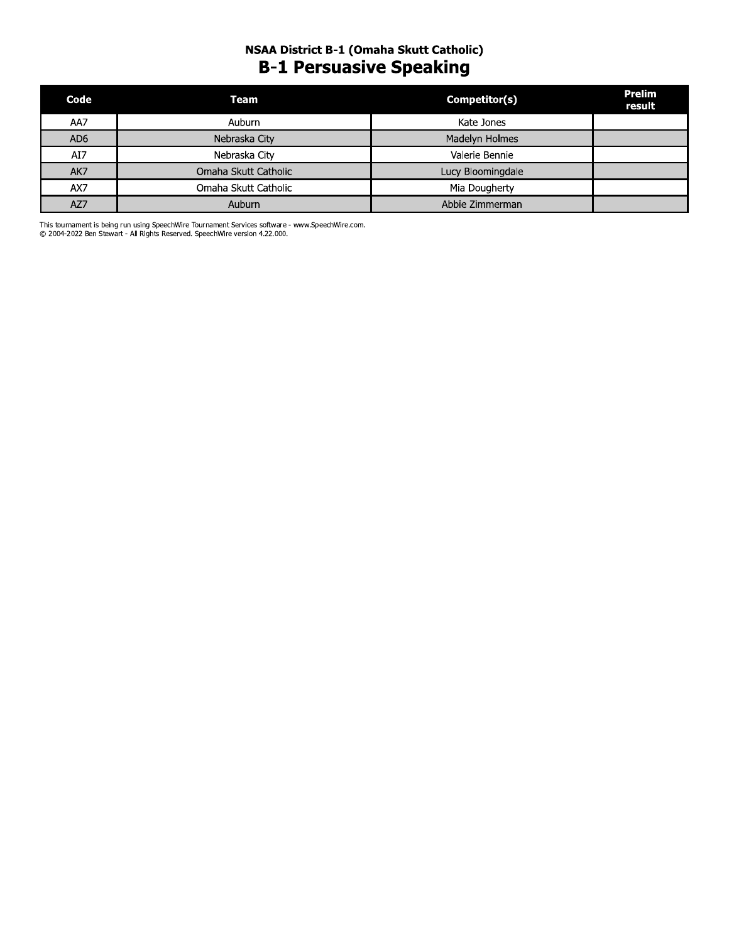## NSAA District B-1 (Omaha Skutt Catholic) **B-1 Persuasive Speaking**

| Code            | Team                 | Competitor(s)     | <b>Prelim</b><br>result |
|-----------------|----------------------|-------------------|-------------------------|
| AA7             | Auburn               | Kate Jones        |                         |
| AD <sub>6</sub> | Nebraska City        | Madelyn Holmes    |                         |
| AI7             | Nebraska City        | Valerie Bennie    |                         |
| AK7             | Omaha Skutt Catholic | Lucy Bloomingdale |                         |
| AX7             | Omaha Skutt Catholic | Mia Dougherty     |                         |
| AZ7             | Auburn               | Abbie Zimmerman   |                         |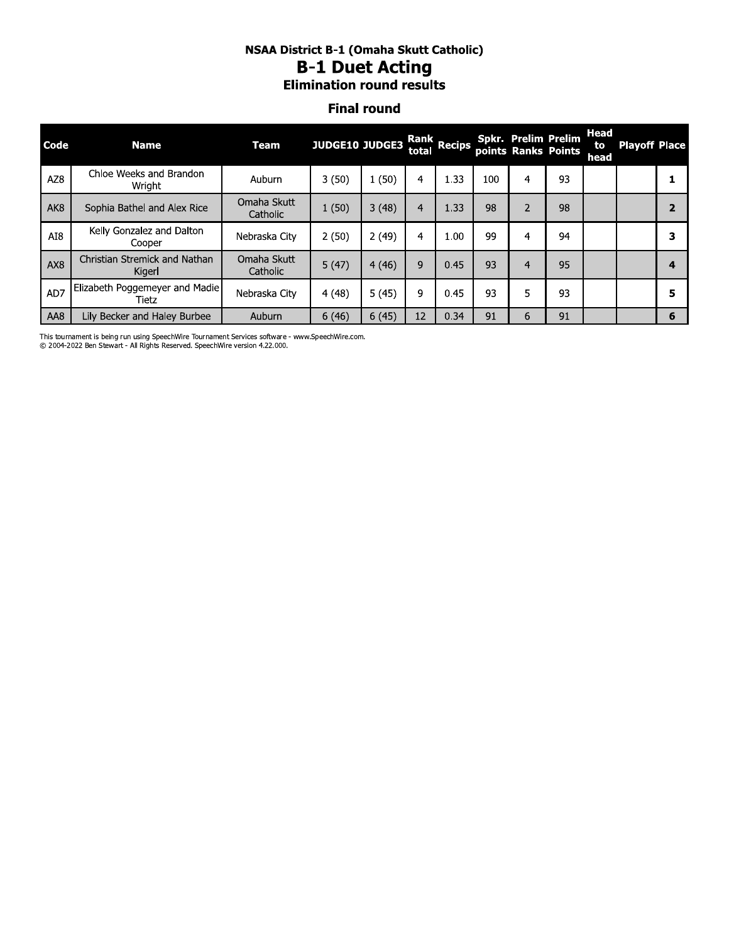#### NSAA District B-1 (Omaha Skutt Catholic) **B-1 Duet Acting Elimination round results**

#### **Final round**

| <b>Code</b>     | <b>Name</b>                             | Team                    | JUDGE10 JUDGE3 |       | total | Rank Recips |     |                | <b>Spkr. Prelim Prelim</b><br>points Ranks Points | Head<br>to<br><b>head</b> | <b>Playoff Place</b> |   |
|-----------------|-----------------------------------------|-------------------------|----------------|-------|-------|-------------|-----|----------------|---------------------------------------------------|---------------------------|----------------------|---|
| AZ <sub>8</sub> | Chloe Weeks and Brandon<br>Wright       | Auburn                  | 3(50)          | 1(50) | 4     | 1.33        | 100 | 4              | 93                                                |                           |                      |   |
| AK <sub>8</sub> | Sophia Bathel and Alex Rice             | Omaha Skutt<br>Catholic | 1(50)          | 3(48) | 4     | 1.33        | 98  | $\overline{2}$ | 98                                                |                           |                      |   |
| AI8             | Kelly Gonzalez and Dalton<br>Cooper     | Nebraska City           | 2(50)          | 2(49) | 4     | 1.00        | 99  | 4              | 94                                                |                           |                      | з |
| AX <sub>8</sub> | Christian Stremick and Nathan<br>Kigerl | Omaha Skutt<br>Catholic | 5(47)          | 4(46) | 9     | 0.45        | 93  | 4              | 95                                                |                           |                      | 4 |
| AD7             | Elizabeth Poggemeyer and Madie<br>Tietz | Nebraska City           | 4(48)          | 5(45) | 9     | 0.45        | 93  | 5              | 93                                                |                           |                      | 5 |
| AA8             | Lily Becker and Haley Burbee            | Auburn                  | 6(46)          | 6(45) | 12    | 0.34        | 91  | 6              | 91                                                |                           |                      | 6 |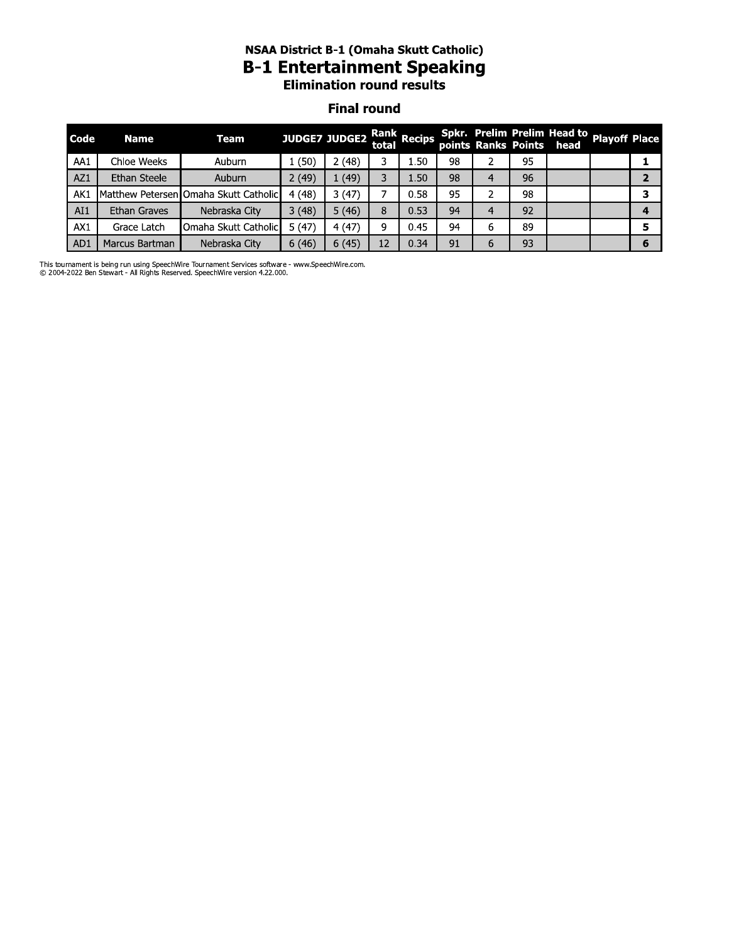#### NSAA DISTrict B-1 (Omana Skutt Catholic) B-1 Entertainment Speaking **Elimination round results**

#### **Final round**

|      | <b>NSAA District B-1 (Omaha Skutt Catholic)</b><br><b>B-1 Entertainment Speaking</b><br><b>Elimination round results</b> |                                       |       |                      |       |                    |    |   |    |                                                                       |  |                |
|------|--------------------------------------------------------------------------------------------------------------------------|---------------------------------------|-------|----------------------|-------|--------------------|----|---|----|-----------------------------------------------------------------------|--|----------------|
|      | <b>Final round</b>                                                                                                       |                                       |       |                      |       |                    |    |   |    |                                                                       |  |                |
| Code | <b>Name</b>                                                                                                              | <b>Team</b>                           |       | <b>JUDGE7 JUDGE2</b> | total | <b>Rank Recips</b> |    |   |    | Spkr. Prelim Prelim Head to Playoff Place<br>points Ranks Points head |  |                |
| AA1  | Chloe Weeks                                                                                                              | Auburn                                | 1(50) | 2(48)                | 3     | 1.50               | 98 |   | 95 |                                                                       |  | 1              |
| AZ1  | Ethan Steele                                                                                                             | Auburn                                | 2(49) | 1(49)                | 3.    | 1.50               | 98 | 4 | 96 |                                                                       |  | $\overline{2}$ |
| AK1  |                                                                                                                          | Matthew Petersen Omaha Skutt Catholic | 4(48) | 3(47)                | 7     | 0.58               | 95 | 2 | 98 |                                                                       |  | 3              |
| AI1  | Ethan Graves                                                                                                             | Nebraska City                         | 3(48) | 5(46)                | 8     | 0.53               | 94 | 4 | 92 |                                                                       |  | 4              |
| AX1  | Grace Latch                                                                                                              | Omaha Skutt Catholic                  | 5(47) | 4(47)                | 9     | 0.45               | 94 | 6 | 89 |                                                                       |  | 5              |
| AD1  | Marcus Bartman                                                                                                           | Nebraska City                         | 6(46) | 6(45)                | 12    | 0.34               | 91 | 6 | 93 |                                                                       |  | 6              |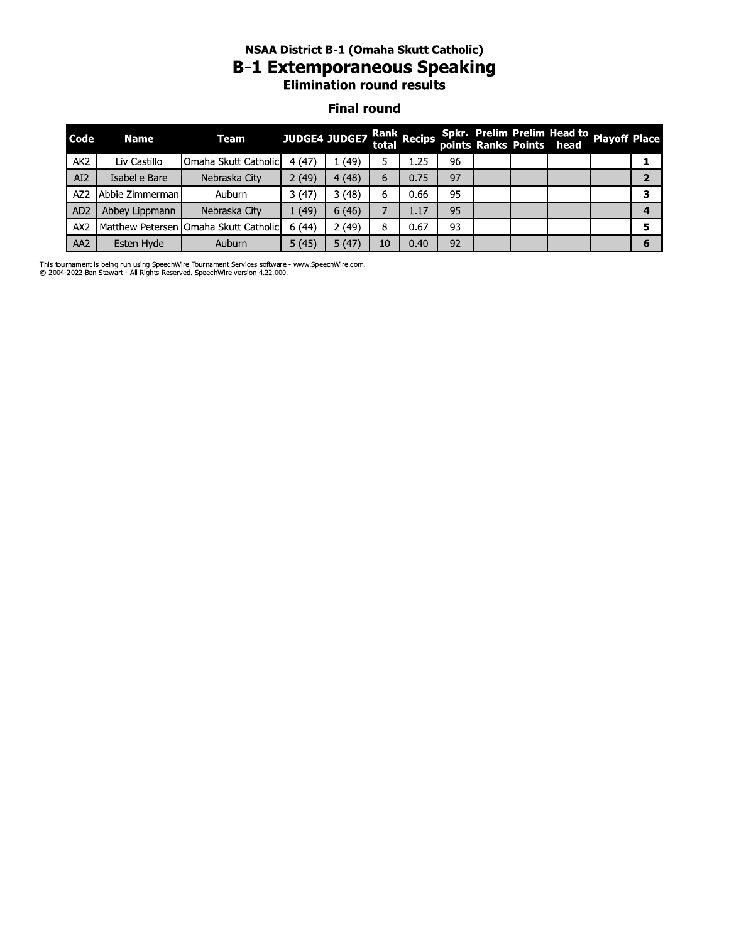### NSAA DISTrict B-1 (Omana Skutt Catholic) B-1 Extemporaneous Speaking **Elimination round results**

#### **Final round**

|                    |                 |                                       |               |       |       | <b>NSAA District B-1 (Omaha Skutt Catholic)</b><br><b>B-1 Extemporaneous Speaking</b><br><b>Elimination round results</b> |    |  |  |                                                                       |  |                |  |  |  |  |  |  |  |  |
|--------------------|-----------------|---------------------------------------|---------------|-------|-------|---------------------------------------------------------------------------------------------------------------------------|----|--|--|-----------------------------------------------------------------------|--|----------------|--|--|--|--|--|--|--|--|
| <b>Final round</b> |                 |                                       |               |       |       |                                                                                                                           |    |  |  |                                                                       |  |                |  |  |  |  |  |  |  |  |
| Code               | <b>Name</b>     | <b>Team</b>                           | JUDGE4 JUDGE7 |       | total | Rank Recips                                                                                                               |    |  |  | Spkr. Prelim Prelim Head to Playoff Place<br>points Ranks Points head |  |                |  |  |  |  |  |  |  |  |
| AK <sub>2</sub>    | Liv Castillo    | Omaha Skutt Catholic                  | 4(47)         | 1(49) | 5     | 1.25                                                                                                                      | 96 |  |  |                                                                       |  | 1              |  |  |  |  |  |  |  |  |
| AI2                | Isabelle Bare   | Nebraska City                         | 2(49)         | 4(48) | 6     | 0.75                                                                                                                      | 97 |  |  |                                                                       |  | $\overline{2}$ |  |  |  |  |  |  |  |  |
| AZ <sub>2</sub>    | Abbie Zimmerman | Auburn                                | 3(47)         | 3(48) | 6     | 0.66                                                                                                                      | 95 |  |  |                                                                       |  | 3              |  |  |  |  |  |  |  |  |
| AD <sub>2</sub>    | Abbey Lippmann  | Nebraska City                         | 1(49)         | 6(46) | 7     | 1.17                                                                                                                      | 95 |  |  |                                                                       |  | 4              |  |  |  |  |  |  |  |  |
| AX2                |                 | Matthew Petersen Omaha Skutt Catholic | 6(44)         | 2(49) | 8     | 0.67                                                                                                                      | 93 |  |  |                                                                       |  | 5              |  |  |  |  |  |  |  |  |
| AA <sub>2</sub>    | Esten Hyde      | Auburn                                | 5(45)         | 5(47) | 10    | 0.40                                                                                                                      | 92 |  |  |                                                                       |  | 6              |  |  |  |  |  |  |  |  |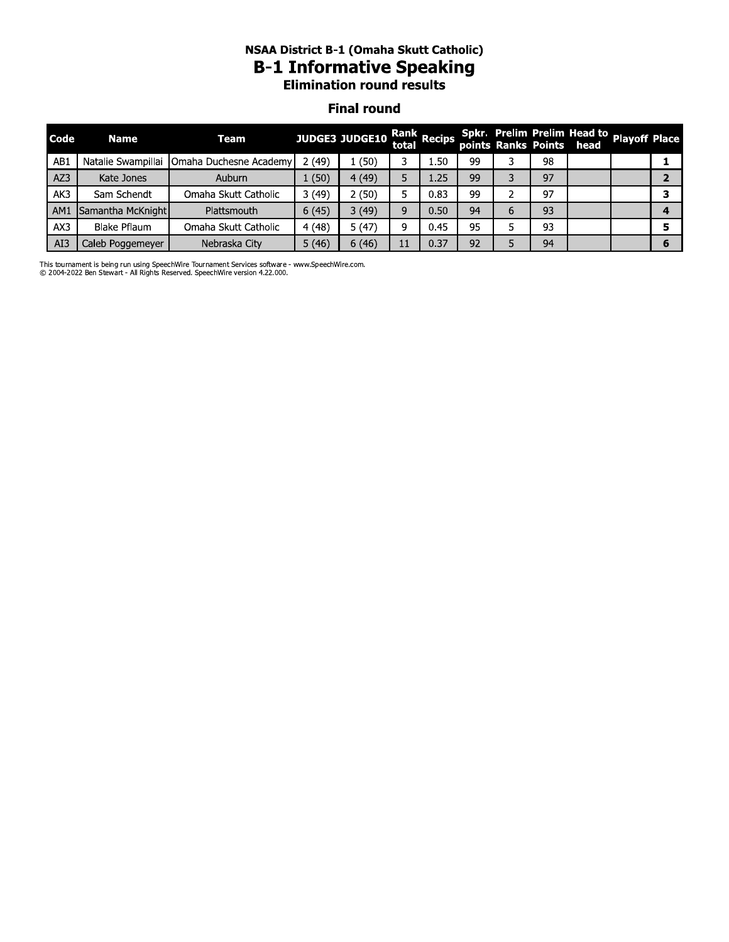# NSAA DISTrict B-1 (Omana Skutt Catholic) B-1 Informative Speaking<br>Elimination round results

#### **Final round**

|      |                    |                        |       | <b>Elimination round results</b> |       |             |    |                     |    |                                                   |                |
|------|--------------------|------------------------|-------|----------------------------------|-------|-------------|----|---------------------|----|---------------------------------------------------|----------------|
|      |                    |                        |       | <b>Final round</b>               |       |             |    |                     |    |                                                   |                |
| Code | <b>Name</b>        | Team                   |       | <b>JUDGE3 JUDGE10</b>            | total | Rank Recips |    | points Ranks Points |    | Spkr. Prelim Prelim Head to Playoff Place<br>head |                |
| AB1  | Natalie Swampillai | Omaha Duchesne Academy | 2(49) | 1(50)                            | 3     | 1.50        | 99 | 3                   | 98 |                                                   | 1              |
| AZ3  | Kate Jones         | Auburn                 | 1(50) | 4 (49)                           | 5.    | 1.25        | 99 | 3                   | 97 |                                                   | $\overline{2}$ |
| AK3  | Sam Schendt        | Omaha Skutt Catholic   | 3(49) | 2(50)                            | 5.    | 0.83        | 99 | 2                   | 97 |                                                   | 3              |
| AM1  | Samantha McKnight  | Plattsmouth            | 6(45) | 3(49)                            | 9     | 0.50        | 94 | 6                   | 93 |                                                   | 4              |
| AX3  | Blake Pflaum       | Omaha Skutt Catholic   | 4(48) | 5(47)                            | 9     | 0.45        | 95 | 5.                  | 93 |                                                   | 5.             |
| AI3  | Caleb Poggemeyer   | Nebraska City          | 5(46) | 6(46)                            | 11    | 0.37        | 92 | 5                   | 94 |                                                   | 6              |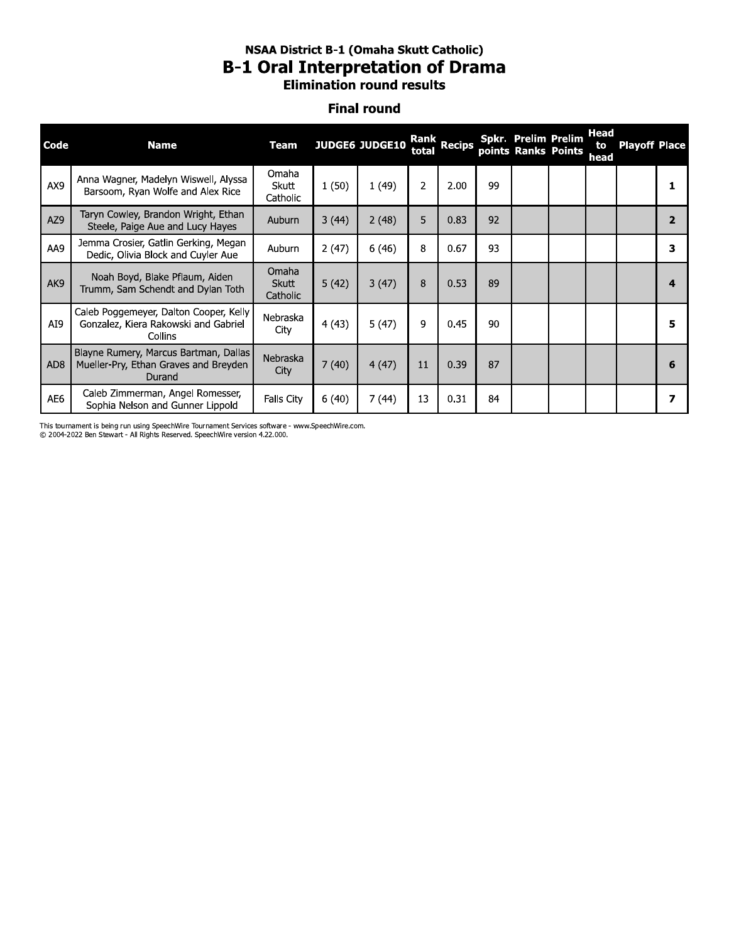#### NSAA District B-1 (Omaha Skutt Catholic) **B-1 Oral Interpretation of Drama Elimination round results**

#### **Final round**

| Code            | <b>Name</b>                                                                               | <b>Team</b>                |       | <b>JUDGE6 JUDGE10</b> | total          | Rank<br>Recips |    | <b>Spkr. Prelim Prelim</b><br>points Ranks Points | Head<br>to<br>head | <b>Playoff Place</b> |   |
|-----------------|-------------------------------------------------------------------------------------------|----------------------------|-------|-----------------------|----------------|----------------|----|---------------------------------------------------|--------------------|----------------------|---|
| AX9             | Anna Wagner, Madelyn Wiswell, Alyssa<br>Barsoom, Ryan Wolfe and Alex Rice                 | Omaha<br>Skutt<br>Catholic | 1(50) | 1(49)                 | $\overline{2}$ | 2.00           | 99 |                                                   |                    |                      |   |
| AZ9             | Taryn Cowley, Brandon Wright, Ethan<br>Steele, Paige Aue and Lucy Hayes                   | <b>Auburn</b>              | 3(44) | 2(48)                 | 5              | 0.83           | 92 |                                                   |                    |                      |   |
| AA9             | Jemma Crosier, Gatlin Gerking, Megan<br>Dedic, Olivia Block and Cuyler Aue                | Auburn                     | 2(47) | 6(46)                 | 8              | 0.67           | 93 |                                                   |                    |                      | 3 |
| AK9             | Noah Boyd, Blake Pflaum, Aiden<br>Trumm, Sam Schendt and Dylan Toth                       | Omaha<br>Skutt<br>Catholic | 5(42) | 3(47)                 | 8              | 0.53           | 89 |                                                   |                    |                      | 4 |
| AI9             | Caleb Poggemeyer, Dalton Cooper, Kelly<br>Gonzalez, Kiera Rakowski and Gabriel<br>Collins | Nebraska<br>City           | 4(43) | 5(47)                 | 9              | 0.45           | 90 |                                                   |                    |                      | 5 |
| AD <sub>8</sub> | Blayne Rumery, Marcus Bartman, Dallas<br>Mueller-Pry, Ethan Graves and Breyden<br>Durand  | Nebraska<br>City           | 7(40) | 4(47)                 | 11             | 0.39           | 87 |                                                   |                    |                      | 6 |
| AE6             | Caleb Zimmerman, Angel Romesser,<br>Sophia Nelson and Gunner Lippold                      | Falls City                 | 6(40) | 7(44)                 | 13             | 0.31           | 84 |                                                   |                    |                      | 7 |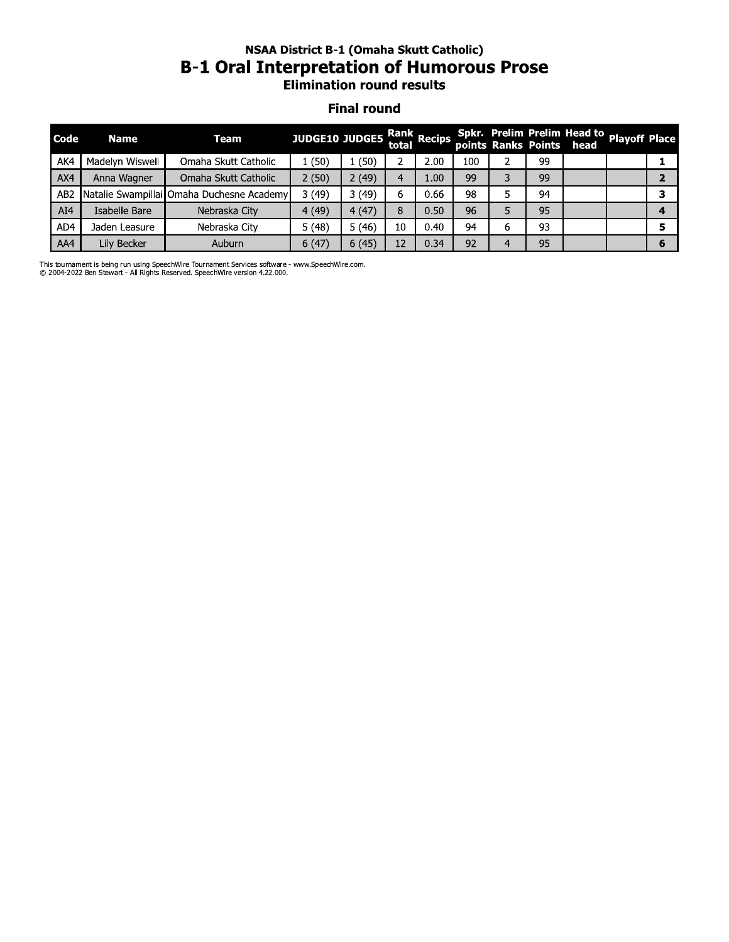# NSAA DISTrict B-1 (Omana Skutt Catholic) B-1 Oral Interpretation or Humorous Prose<br>Elimination round results

#### **Final round**

|                 |                    | <b>B-1 Oral Interpretation of Humorous Prose</b> | <b>NSAA District B-1 (Omaha Skutt Catholic)</b><br><b>Elimination round results</b> |       |                |                      |     |   |    |                                                         |                      |                |  |  |  |
|-----------------|--------------------|--------------------------------------------------|-------------------------------------------------------------------------------------|-------|----------------|----------------------|-----|---|----|---------------------------------------------------------|----------------------|----------------|--|--|--|
|                 | <b>Final round</b> |                                                  |                                                                                     |       |                |                      |     |   |    |                                                         |                      |                |  |  |  |
| Code            | <b>Name</b>        | Team                                             | JUDGE10 JUDGE5                                                                      |       |                | Rank<br>total Recips |     |   |    | Spkr. Prelim Prelim Head to<br>points Ranks Points head | <b>Playoff Place</b> |                |  |  |  |
| AK4             | Madelyn Wiswell    | Omaha Skutt Catholic                             | 1(50)                                                                               | 1(50) | $\overline{2}$ | 2.00                 | 100 | 2 | 99 |                                                         |                      | 1              |  |  |  |
| AX4             | Anna Wagner        | Omaha Skutt Catholic                             | 2(50)                                                                               | 2(49) | 4              | 1.00                 | 99  | 3 | 99 |                                                         |                      | $\overline{2}$ |  |  |  |
| AB <sub>2</sub> |                    | Natalie Swampillai Omaha Duchesne Academy        | 3(49)                                                                               | 3(49) | 6              | 0.66                 | 98  | 5 | 94 |                                                         |                      | 3              |  |  |  |
| AI4             | Isabelle Bare      | Nebraska City                                    | 4(49)                                                                               | 4(47) | 8              | 0.50                 | 96  | 5 | 95 |                                                         |                      | 4              |  |  |  |
| AD4             | Jaden Leasure      | Nebraska City                                    | 5(48)                                                                               | 5(46) | 10             | 0.40                 | 94  | 6 | 93 |                                                         |                      | 5              |  |  |  |
| AA4             | Lily Becker        | Auburn                                           | 6(47)                                                                               | 6(45) | 12             | 0.34                 | 92  | 4 | 95 |                                                         |                      | 6              |  |  |  |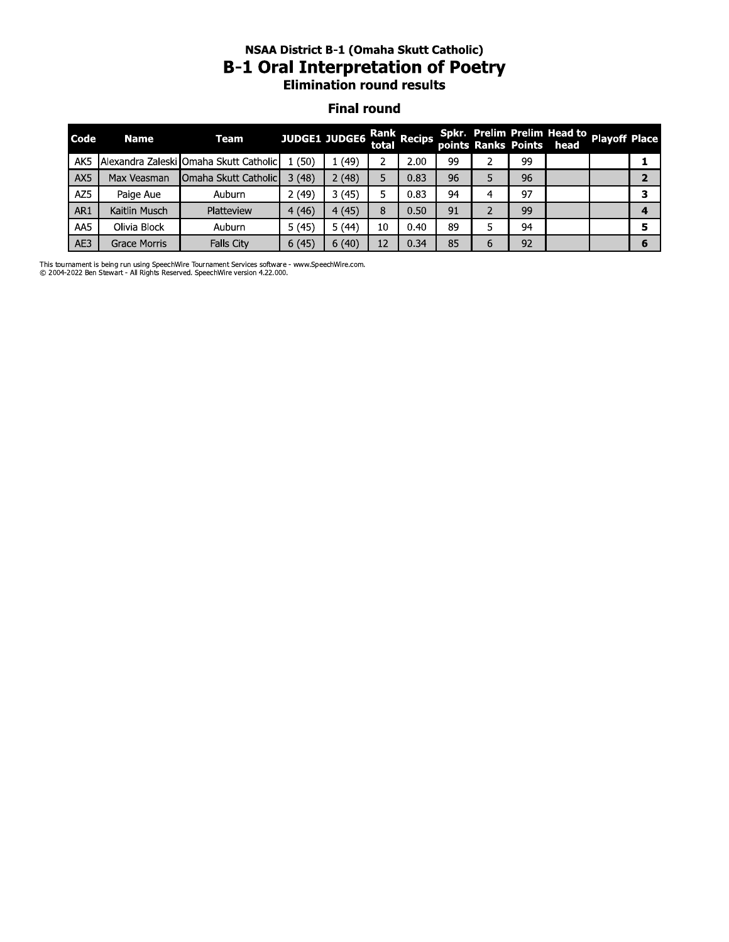# NSAA DISTrict B-1 (Omana Skutt Catholic) B-1 Oral Interpretation of Poetry<br>Elimination round results

#### **Final round**

| Code | <b>Name</b>         | Team                                   |       | <b>JUDGE1 JUDGE6</b> | total | Rank Recips |    | points Ranks Points |    | Spkr. Prelim Prelim Head to playoff Place<br>head |                |
|------|---------------------|----------------------------------------|-------|----------------------|-------|-------------|----|---------------------|----|---------------------------------------------------|----------------|
| AK5  |                     | Alexandra Zaleski Omaha Skutt Catholic | 1(50) | 1(49)                | 2     | 2.00        | 99 | 2                   | 99 |                                                   | 1              |
| AX5  | Max Veasman         | <b>IOmaha Skutt Catholic</b>           | 3(48) | 2(48)                | 5     | 0.83        | 96 | 5                   | 96 |                                                   | $\overline{2}$ |
| AZ5  | Paige Aue           | Auburn                                 | 2(49) | 3(45)                | 5.    | 0.83        | 94 | 4                   | 97 |                                                   | 3              |
| AR1  | Kaitlin Musch       | Platteview                             | 4(46) | 4(45)                | 8     | 0.50        | 91 | 2                   | 99 |                                                   | 4              |
| AA5  | Olivia Block        | Auburn                                 | 5(45) | 5(44)                | 10    | 0.40        | 89 | 5                   | 94 |                                                   | 5              |
| AE3  | <b>Grace Morris</b> | <b>Falls City</b>                      | 6(45) | 6(40)                | 12    | 0.34        | 85 | 6                   | 92 |                                                   | 6              |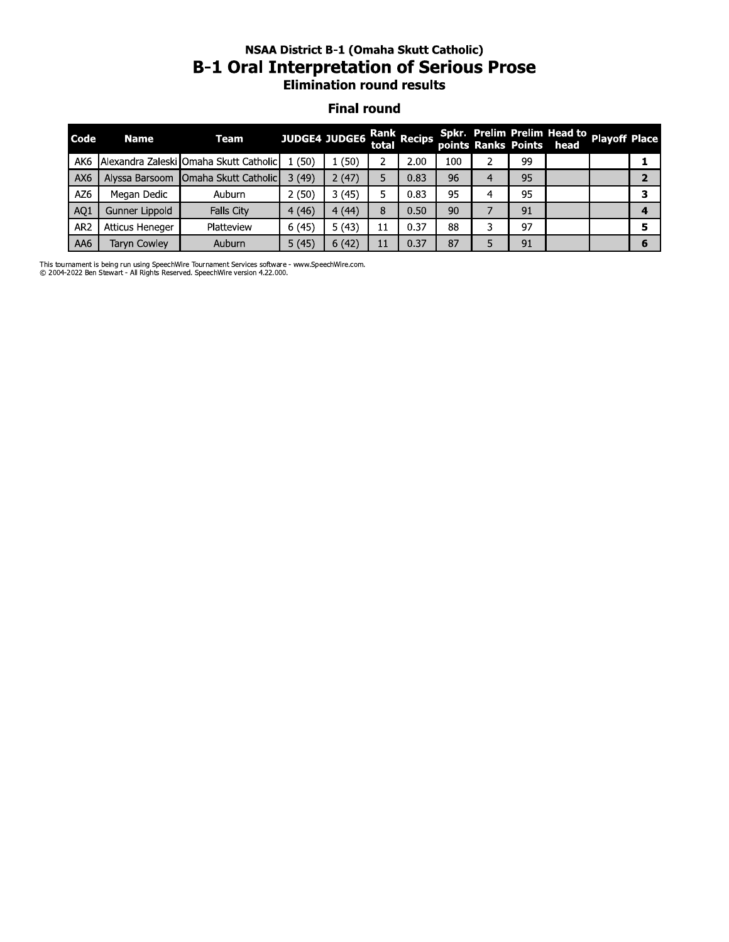# **NSAA District B-1 (Omaha Skutt Catholic) B-1 Oral Interpretation of Serious Prose**<br>Elimination round results

#### **Final round**

| Code            | <b>Name</b>         | Team                                   |       | JUDGE4 JUDGE6 Rank Recips Spkr. Prelim Prelim Head to playoff Place<br>points Ranks Points head |    |      |     |    |  |   |
|-----------------|---------------------|----------------------------------------|-------|-------------------------------------------------------------------------------------------------|----|------|-----|----|--|---|
| AK <sub>6</sub> |                     | Alexandra Zaleski Omaha Skutt Catholic | (50)  | (50)                                                                                            |    | 2.00 | 100 | 99 |  |   |
| AX6             |                     | Alyssa Barsoom   Omaha Skutt Catholic  | 3(49) | 2(47)                                                                                           |    | 0.83 | 96  | 95 |  |   |
| AZ6             | Megan Dedic         | Auburn                                 | 2(50) | 3(45)                                                                                           | 5  | 0.83 | 95  | 95 |  |   |
| AQ1             | Gunner Lippold      | Falls City                             | 4(46) | 4(44)                                                                                           | 8  | 0.50 | 90  | 91 |  |   |
| AR <sub>2</sub> | Atticus Heneger     | Platteview                             | 6(45) | 5(43)                                                                                           | 11 | 0.37 | 88  | 97 |  |   |
| AA6             | <b>Tarvn Cowley</b> | Auburn                                 | 5(45) | 6(42)                                                                                           | 11 | 0.37 | 87  | 91 |  | 6 |